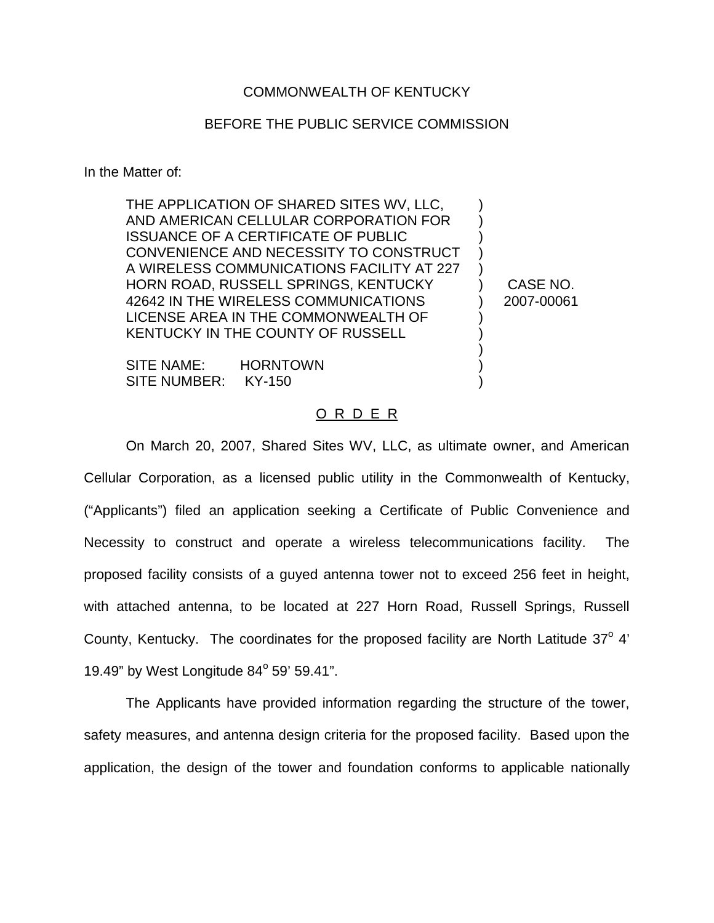## COMMONWEALTH OF KENTUCKY

## BEFORE THE PUBLIC SERVICE COMMISSION

In the Matter of:

THE APPLICATION OF SHARED SITES WV, LLC, AND AMERICAN CELLULAR CORPORATION FOR ISSUANCE OF A CERTIFICATE OF PUBLIC CONVENIENCE AND NECESSITY TO CONSTRUCT A WIRELESS COMMUNICATIONS FACILITY AT 227 HORN ROAD, RUSSELL SPRINGS, KENTUCKY 42642 IN THE WIRELESS COMMUNICATIONS LICENSE AREA IN THE COMMONWEALTH OF KENTUCKY IN THE COUNTY OF RUSSELL

CASE NO. 2007-00061

) ) ) ) ) ) ) ) ) ) ) )

SITE NAME: HORNTOWN SITE NUMBER: KY-150

## O R D E R

On March 20, 2007, Shared Sites WV, LLC, as ultimate owner, and American Cellular Corporation, as a licensed public utility in the Commonwealth of Kentucky, ("Applicants") filed an application seeking a Certificate of Public Convenience and Necessity to construct and operate a wireless telecommunications facility. The proposed facility consists of a guyed antenna tower not to exceed 256 feet in height, with attached antenna, to be located at 227 Horn Road, Russell Springs, Russell County, Kentucky. The coordinates for the proposed facility are North Latitude 37° 4' 19.49" by West Longitude  $84^{\circ}$  59' 59.41".

The Applicants have provided information regarding the structure of the tower, safety measures, and antenna design criteria for the proposed facility. Based upon the application, the design of the tower and foundation conforms to applicable nationally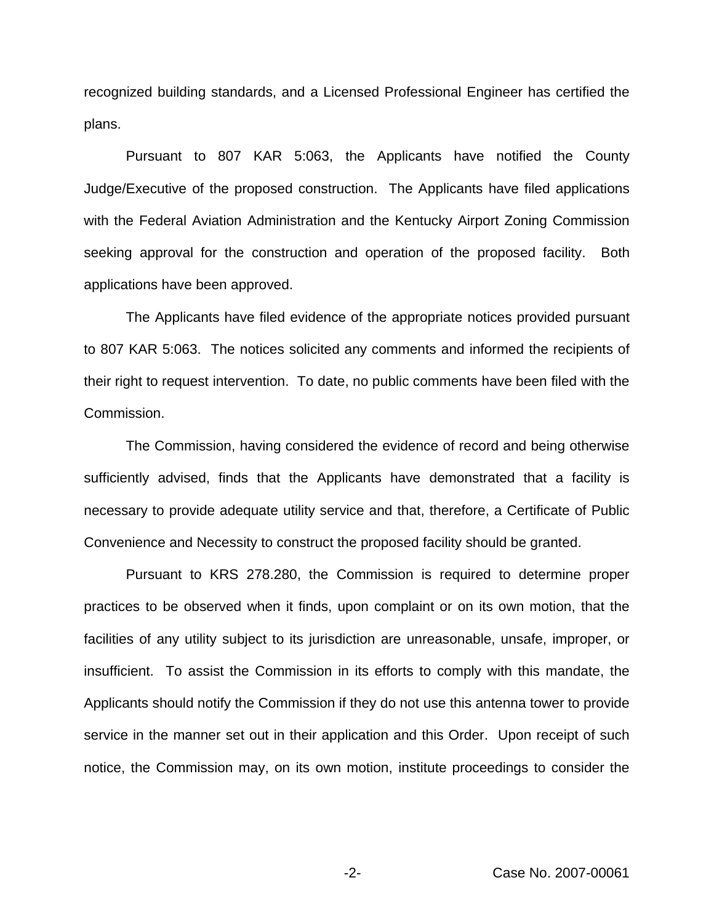recognized building standards, and a Licensed Professional Engineer has certified the plans.

Pursuant to 807 KAR 5:063, the Applicants have notified the County Judge/Executive of the proposed construction. The Applicants have filed applications with the Federal Aviation Administration and the Kentucky Airport Zoning Commission seeking approval for the construction and operation of the proposed facility. Both applications have been approved.

The Applicants have filed evidence of the appropriate notices provided pursuant to 807 KAR 5:063. The notices solicited any comments and informed the recipients of their right to request intervention. To date, no public comments have been filed with the Commission.

The Commission, having considered the evidence of record and being otherwise sufficiently advised, finds that the Applicants have demonstrated that a facility is necessary to provide adequate utility service and that, therefore, a Certificate of Public Convenience and Necessity to construct the proposed facility should be granted.

Pursuant to KRS 278.280, the Commission is required to determine proper practices to be observed when it finds, upon complaint or on its own motion, that the facilities of any utility subject to its jurisdiction are unreasonable, unsafe, improper, or insufficient. To assist the Commission in its efforts to comply with this mandate, the Applicants should notify the Commission if they do not use this antenna tower to provide service in the manner set out in their application and this Order. Upon receipt of such notice, the Commission may, on its own motion, institute proceedings to consider the